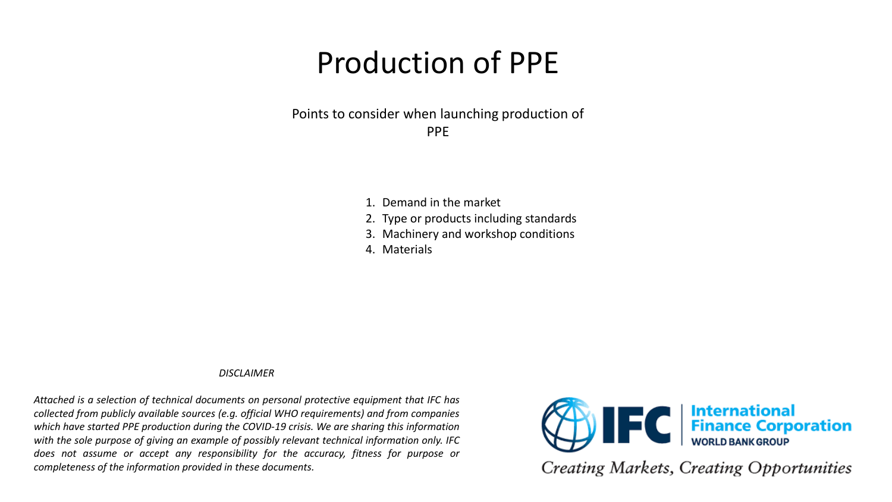# Production of PPE

Points to consider when launching production of PPE

- 1. Demand in the market
- 2. Type or products including standards
- 3. Machinery and workshop conditions
- 4. Materials

#### *DISCLAIMER*

*Attached is a selection of technical documents on personal protective equipment that IFC has collected from publicly available sources (e.g. official WHO requirements) and from companies which have started PPE production during the COVID-19 crisis. We are sharing this information with the sole purpose of giving an example of possibly relevant technical information only. IFC does not assume or accept any responsibility for the accuracy, fitness for purpose or completeness of the information provided in these documents.*



Creating Markets, Creating Opportunities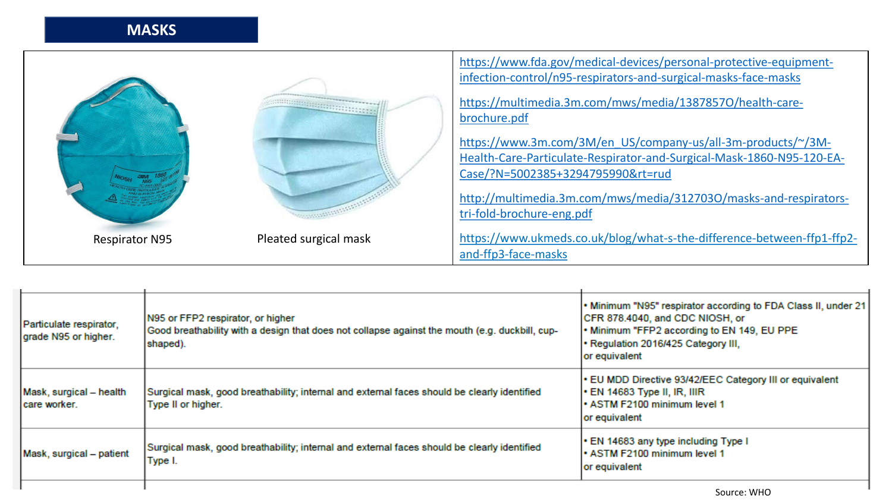#### **MASKS**



| Particulate respirator,<br>grade N95 or higher. | N95 or FFP2 respirator, or higher<br>Good breathability with a design that does not collapse against the mouth (e.g. duckbill, cup-<br>shaped). | . Minimum "N95" respirator according to FDA Class II, under 21<br>CFR 878.4040, and CDC NIOSH, or<br>• Minimum "FFP2 according to EN 149, EU PPE<br>Regulation 2016/425 Category III,<br>or equivalent |
|-------------------------------------------------|-------------------------------------------------------------------------------------------------------------------------------------------------|--------------------------------------------------------------------------------------------------------------------------------------------------------------------------------------------------------|
| Mask, surgical - health<br>care worker.         | Surgical mask, good breathability; internal and external faces should be clearly identified<br>Type II or higher.                               | • EU MDD Directive 93/42/EEC Category III or equivalent<br> • EN 14683 Type II, IR, IIIR<br>I • ASTM F2100 minimum level 1<br>or equivalent                                                            |
| Mask, surgical - patient                        | Surgical mask, good breathability; internal and external faces should be clearly identified<br>Type I.                                          | • EN 14683 any type including Type I<br>$\cdot$ ASTM F2100 minimum level 1<br>or equivalent                                                                                                            |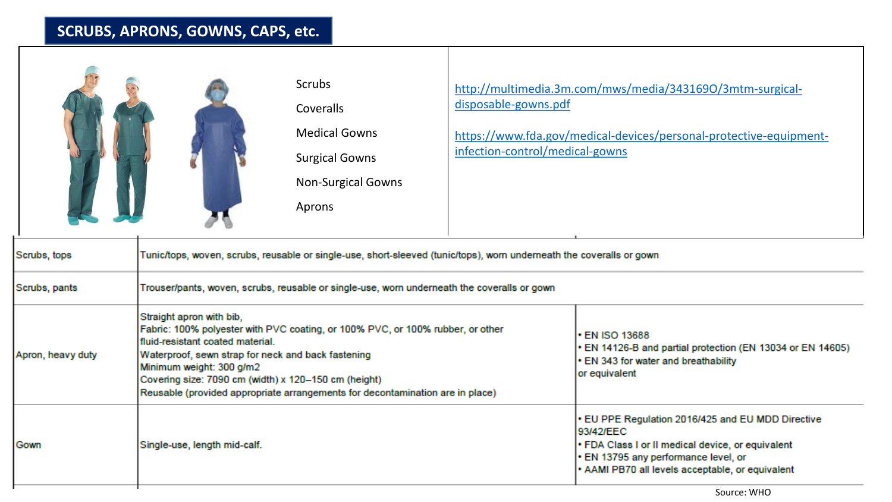## **SCRUBS, APRONS, GOWNS, CAPS, etc.**

| Scrubs                    |
|---------------------------|
| Coveralls                 |
| <b>Medical Gowns</b>      |
| <b>Surgical Gowns</b>     |
| <b>Non-Surgical Gowns</b> |
| Aprons                    |

[http://multimedia.3m.com/mws/media/343169O/3mtm-surgical](http://multimedia.3m.com/mws/media/343169O/3mtm-surgical-disposable-gowns.pdf)disposable-gowns.pdf

[https://www.fda.gov/medical-devices/personal-protective-equipment](https://www.fda.gov/medical-devices/personal-protective-equipment-infection-control/medical-gowns)infection-control/medical-gowns

| Scrubs, tops      | Tunic/tops, woven, scrubs, reusable or single-use, short-sleeved (tunic/tops), worn underneath the coveralls or gown                                                                                                                                                                                                                                                      |                                                                                                                                                                                                                 |  |
|-------------------|---------------------------------------------------------------------------------------------------------------------------------------------------------------------------------------------------------------------------------------------------------------------------------------------------------------------------------------------------------------------------|-----------------------------------------------------------------------------------------------------------------------------------------------------------------------------------------------------------------|--|
| Scrubs, pants     | Trouser/pants, woven, scrubs, reusable or single-use, worn underneath the coveralls or gown                                                                                                                                                                                                                                                                               |                                                                                                                                                                                                                 |  |
| Apron, heavy duty | Straight apron with bib.<br>Fabric: 100% polyester with PVC coating, or 100% PVC, or 100% rubber, or other<br>fluid-resistant coated material.<br>Waterproof, sewn strap for neck and back fastening<br>Minimum weight: 300 g/m2<br>Covering size: 7090 cm (width) x 120-150 cm (height)<br>Reusable (provided appropriate arrangements for decontamination are in place) | • EN ISO 13688<br>• EN 14126-B and partial protection (EN 13034 or EN 14605)<br>• EN 343 for water and breathability<br>or equivalent                                                                           |  |
| Gown              | Single-use, length mid-calf.                                                                                                                                                                                                                                                                                                                                              | • EU PPE Regulation 2016/425 and EU MDD Directive<br>93/42/EEC<br>• FDA Class I or II medical device, or equivalent<br>• EN 13795 any performance level, or<br>• AAMI PB70 all levels acceptable, or equivalent |  |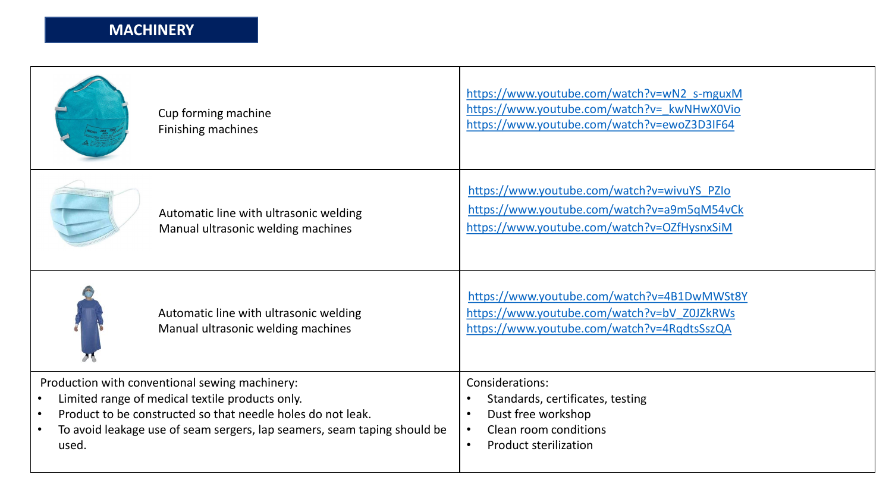## **MACHINERY**

| Cup forming machine<br>Finishing machines                                                                                                                                                                                                             | https://www.youtube.com/watch?v=wN2 s-mguxM<br>https://www.youtube.com/watch?v= kwNHwX0Vio<br>https://www.youtube.com/watch?v=ewoZ3D3IF64                    |  |
|-------------------------------------------------------------------------------------------------------------------------------------------------------------------------------------------------------------------------------------------------------|--------------------------------------------------------------------------------------------------------------------------------------------------------------|--|
| Automatic line with ultrasonic welding<br>Manual ultrasonic welding machines                                                                                                                                                                          | https://www.youtube.com/watch?v=wivuYS_PZIo<br>https://www.youtube.com/watch?v=a9m5qM54vCk<br>https://www.youtube.com/watch?v=OZfHysnxSiM                    |  |
| Automatic line with ultrasonic welding<br>Manual ultrasonic welding machines                                                                                                                                                                          | https://www.youtube.com/watch?v=4B1DwMWSt8Y<br>https://www.youtube.com/watch?v=bV Z0JZkRWs<br>https://www.youtube.com/watch?v=4RqdtsSszQA                    |  |
| Production with conventional sewing machinery:<br>Limited range of medical textile products only.<br>Product to be constructed so that needle holes do not leak.<br>To avoid leakage use of seam sergers, lap seamers, seam taping should be<br>used. | Considerations:<br>Standards, certificates, testing<br>Dust free workshop<br>Clean room conditions<br>$\bullet$<br><b>Product sterilization</b><br>$\bullet$ |  |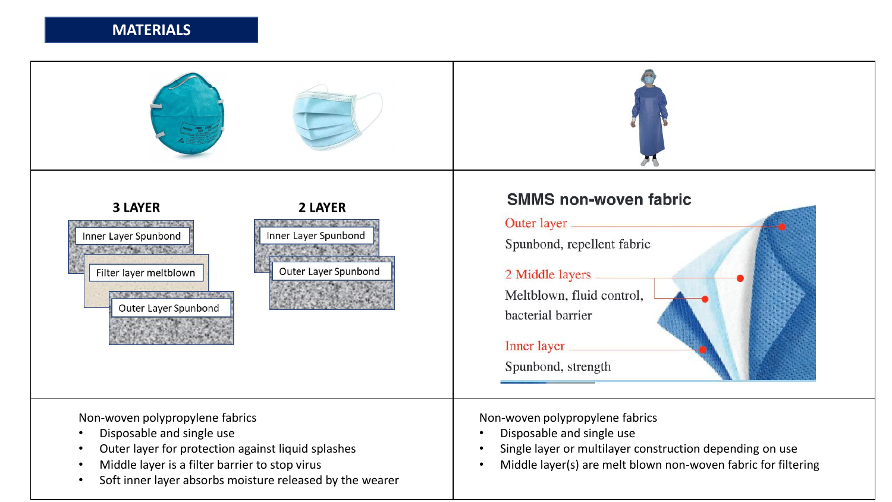#### **MATERIALS**

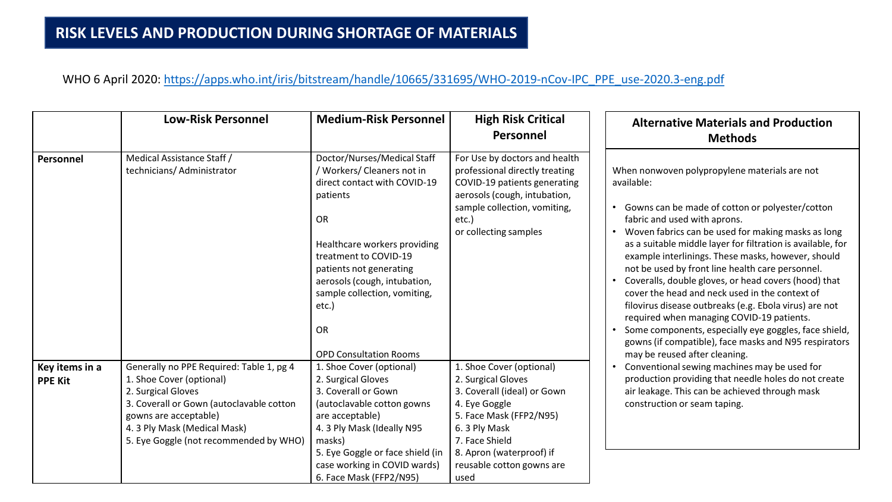#### WHO 6 April 2020: [https://apps.who.int/iris/bitstream/handle/10665/331695/WHO-2019-nCov-IPC\\_PPE\\_use-2020.3-eng.pdf](https://apps.who.int/iris/bitstream/handle/10665/331695/WHO-2019-nCov-IPC_PPE_use-2020.3-eng.pdf)

|                                  | <b>Low-Risk Personnel</b>                                                                                                                                                                                                                 | <b>Medium-Risk Personnel</b>                                                                                                                                                                                                                                                                                                  | <b>High Risk Critical</b>                                                                                                                                                                                                    | <b>Alternative Materials and Production</b>                                                                                                                                                                                                                                                                                                                                                                                                                                                                                                                                                                                                                                                                                                                    |
|----------------------------------|-------------------------------------------------------------------------------------------------------------------------------------------------------------------------------------------------------------------------------------------|-------------------------------------------------------------------------------------------------------------------------------------------------------------------------------------------------------------------------------------------------------------------------------------------------------------------------------|------------------------------------------------------------------------------------------------------------------------------------------------------------------------------------------------------------------------------|----------------------------------------------------------------------------------------------------------------------------------------------------------------------------------------------------------------------------------------------------------------------------------------------------------------------------------------------------------------------------------------------------------------------------------------------------------------------------------------------------------------------------------------------------------------------------------------------------------------------------------------------------------------------------------------------------------------------------------------------------------------|
|                                  |                                                                                                                                                                                                                                           |                                                                                                                                                                                                                                                                                                                               | <b>Personnel</b>                                                                                                                                                                                                             | <b>Methods</b>                                                                                                                                                                                                                                                                                                                                                                                                                                                                                                                                                                                                                                                                                                                                                 |
| Personnel                        | Medical Assistance Staff /<br>technicians/ Administrator                                                                                                                                                                                  | Doctor/Nurses/Medical Staff<br>/ Workers/ Cleaners not in<br>direct contact with COVID-19<br>patients<br><b>OR</b><br>Healthcare workers providing<br>treatment to COVID-19<br>patients not generating<br>aerosols (cough, intubation,<br>sample collection, vomiting,<br>etc.)<br><b>OR</b><br><b>OPD Consultation Rooms</b> | For Use by doctors and health<br>professional directly treating<br>COVID-19 patients generating<br>aerosols (cough, intubation,<br>sample collection, vomiting,<br>etc.<br>or collecting samples                             | When nonwoven polypropylene materials are not<br>available:<br>Gowns can be made of cotton or polyester/cotton<br>fabric and used with aprons.<br>Woven fabrics can be used for making masks as long<br>as a suitable middle layer for filtration is available, for<br>example interlinings. These masks, however, should<br>not be used by front line health care personnel.<br>Coveralls, double gloves, or head covers (hood) that<br>$\bullet$<br>cover the head and neck used in the context of<br>filovirus disease outbreaks (e.g. Ebola virus) are not<br>required when managing COVID-19 patients.<br>Some components, especially eye goggles, face shield,<br>gowns (if compatible), face masks and N95 respirators<br>may be reused after cleaning. |
| Key items in a<br><b>PPE Kit</b> | Generally no PPE Required: Table 1, pg 4<br>1. Shoe Cover (optional)<br>2. Surgical Gloves<br>3. Coverall or Gown (autoclavable cotton<br>gowns are acceptable)<br>4. 3 Ply Mask (Medical Mask)<br>5. Eye Goggle (not recommended by WHO) | 1. Shoe Cover (optional)<br>2. Surgical Gloves<br>3. Coverall or Gown<br>(autoclavable cotton gowns<br>are acceptable)<br>4. 3 Ply Mask (Ideally N95<br>masks)<br>5. Eye Goggle or face shield (in<br>case working in COVID wards)<br>6. Face Mask (FFP2/N95)                                                                 | 1. Shoe Cover (optional)<br>2. Surgical Gloves<br>3. Coverall (ideal) or Gown<br>4. Eye Goggle<br>5. Face Mask (FFP2/N95)<br>6.3 Ply Mask<br>7. Face Shield<br>8. Apron (waterproof) if<br>reusable cotton gowns are<br>used | Conventional sewing machines may be used for<br>production providing that needle holes do not create<br>air leakage. This can be achieved through mask<br>construction or seam taping.                                                                                                                                                                                                                                                                                                                                                                                                                                                                                                                                                                         |